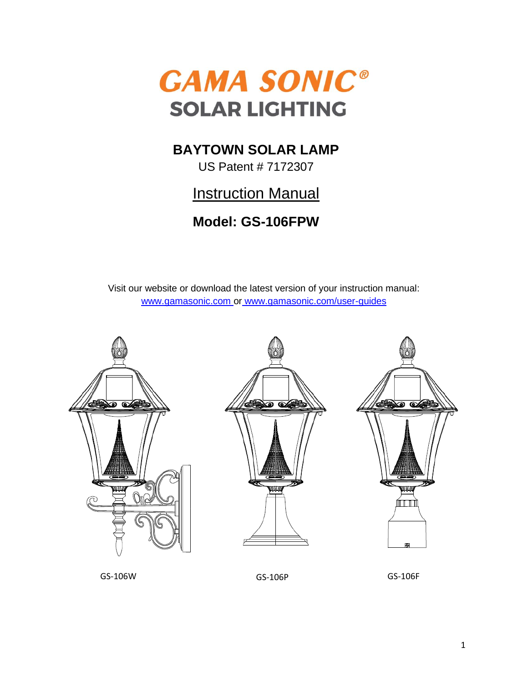

## **BAYTOWN SOLAR LAMP**

US Patent # 7172307

# **Instruction Manual**

## **Model: GS-106FPW**

Visit our website or download the latest version of your instruction manual: [www.gamasonic.com](http://www.gamasonic.com/) or [www.gamasonic.com/user-guides](http://www.gamasonic.com/user-guides)



GS-106W GS-106P GS-106F

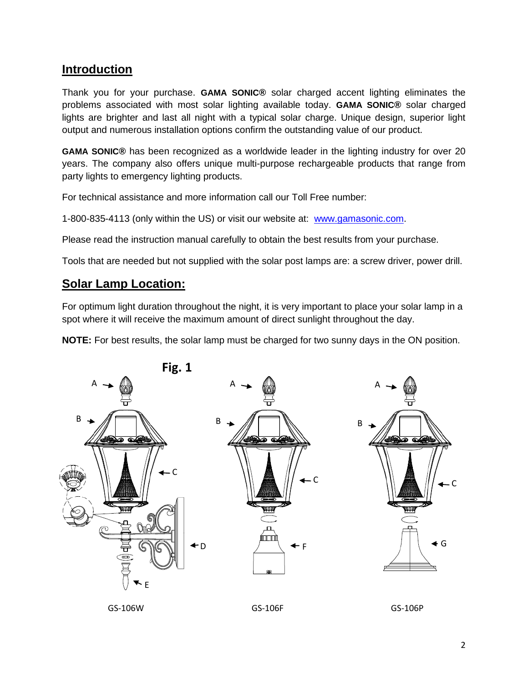## **Introduction**

Thank you for your purchase. **GAMA SONIC®** solar charged accent lighting eliminates the problems associated with most solar lighting available today. **GAMA SONIC®** solar charged lights are brighter and last all night with a typical solar charge. Unique design, superior light output and numerous installation options confirm the outstanding value of our product.

**GAMA SONIC®** has been recognized as a worldwide leader in the lighting industry for over 20 years. The company also offers unique multi-purpose rechargeable products that range from party lights to emergency lighting products.

For technical assistance and more information call our Toll Free number:

1-800-835-4113 (only within the US) or visit our website at: [www.gamasonic.com.](http://www.gamasonic.com/)

Please read the instruction manual carefully to obtain the best results from your purchase.

Tools that are needed but not supplied with the solar post lamps are: a screw driver, power drill.

### **Solar Lamp Location:**

For optimum light duration throughout the night, it is very important to place your solar lamp in a spot where it will receive the maximum amount of direct sunlight throughout the day.

**NOTE:** For best results, the solar lamp must be charged for two sunny days in the ON position.

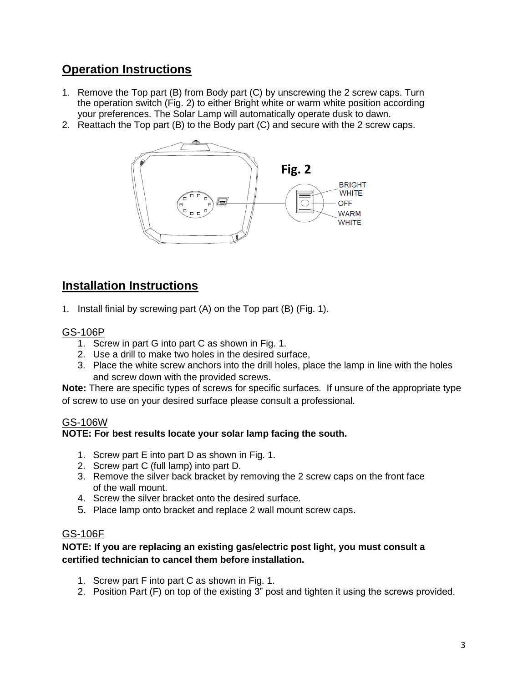## **Operation Instructions**

- 1. Remove the Top part (B) from Body part (C) by unscrewing the 2 screw caps. Turn the operation switch (Fig. 2) to either Bright white or warm white position according your preferences. The Solar Lamp will automatically operate dusk to dawn.
- 2. Reattach the Top part (B) to the Body part (C) and secure with the 2 screw caps.



## **Installation Instructions**

1. Install finial by screwing part (A) on the Top part (B) (Fig. 1).

#### GS-106P

- 1. Screw in part G into part C as shown in Fig. 1.
- 2. Use a drill to make two holes in the desired surface,
- 3. Place the white screw anchors into the drill holes, place the lamp in line with the holes and screw down with the provided screws.

**Note:** There are specific types of screws for specific surfaces. If unsure of the appropriate type of screw to use on your desired surface please consult a professional.

#### GS-106W

#### **NOTE: For best results locate your solar lamp facing the south.**

- 1. Screw part E into part D as shown in Fig. 1.
- 2. Screw part C (full lamp) into part D.
- 3. Remove the silver back bracket by removing the 2 screw caps on the front face of the wall mount.
- 4. Screw the silver bracket onto the desired surface.
- 5. Place lamp onto bracket and replace 2 wall mount screw caps.

#### GS-106F

#### **NOTE: If you are replacing an existing gas/electric post light, you must consult a certified technician to cancel them before installation.**

- 1. Screw part F into part C as shown in Fig. 1.
- 2. Position Part (F) on top of the existing 3" post and tighten it using the screws provided.